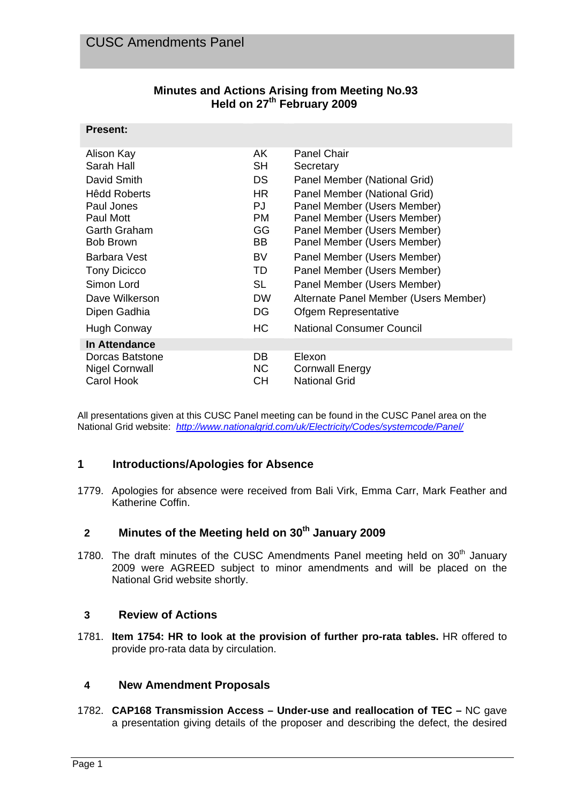**Present:** 

| <b>Minutes and Actions Arising from Meeting No.93</b> |
|-------------------------------------------------------|
| Held on 27 <sup>th</sup> February 2009                |

| г гезени.                                |            |                                       |
|------------------------------------------|------------|---------------------------------------|
| Alison Kay                               | AK.        | <b>Panel Chair</b>                    |
| Sarah Hall                               | SH         | Secretary                             |
| David Smith                              | <b>DS</b>  | Panel Member (National Grid)          |
| <b>Hêdd Roberts</b>                      | HR.        | Panel Member (National Grid)          |
| Paul Jones                               | PJ         | Panel Member (Users Member)           |
| Paul Mott                                | PM.        | Panel Member (Users Member)           |
| Garth Graham                             | GG         | Panel Member (Users Member)           |
| <b>Bob Brown</b>                         | BB         | Panel Member (Users Member)           |
| Barbara Vest                             | BV.        | Panel Member (Users Member)           |
| <b>Tony Dicicco</b>                      | TD         | Panel Member (Users Member)           |
| Simon Lord                               | <b>SL</b>  | Panel Member (Users Member)           |
| Dave Wilkerson                           | <b>DW</b>  | Alternate Panel Member (Users Member) |
| Dipen Gadhia                             | DG         | Ofgem Representative                  |
| Hugh Conway                              | <b>HC</b>  | National Consumer Council             |
| In Attendance                            |            |                                       |
| Dorcas Batstone<br><b>Nigel Cornwall</b> | DB.<br>NC. | Elexon<br><b>Cornwall Energy</b>      |
| Carol Hook                               | CН         | <b>National Grid</b>                  |
|                                          |            |                                       |

All presentations given at this CUSC Panel meeting can be found in the CUSC Panel area on the National Grid website: *http://www.nationalgrid.com/uk/Electricity/Codes/systemcode/Panel/*

### **1 Introductions/Apologies for Absence**

1779. Apologies for absence were received from Bali Virk, Emma Carr, Mark Feather and Katherine Coffin.

## **2 Minutes of the Meeting held on 30th January 2009**

1780. The draft minutes of the CUSC Amendments Panel meeting held on 30<sup>th</sup> January 2009 were AGREED subject to minor amendments and will be placed on the National Grid website shortly.

### **3 Review of Actions**

1781. **Item 1754: HR to look at the provision of further pro-rata tables.** HR offered to provide pro-rata data by circulation.

### **4 New Amendment Proposals**

1782. **CAP168 Transmission Access – Under-use and reallocation of TEC –** NC gave a presentation giving details of the proposer and describing the defect, the desired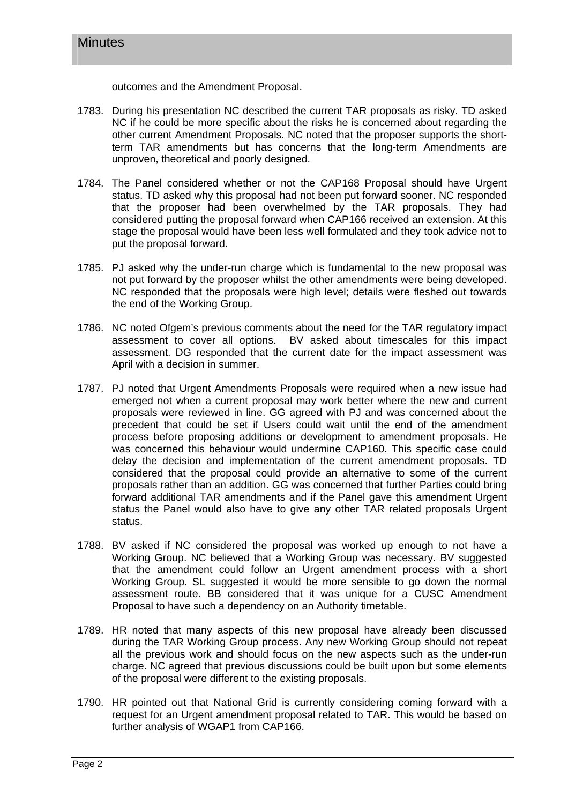outcomes and the Amendment Proposal.

- 1783. During his presentation NC described the current TAR proposals as risky. TD asked NC if he could be more specific about the risks he is concerned about regarding the other current Amendment Proposals. NC noted that the proposer supports the shortterm TAR amendments but has concerns that the long-term Amendments are unproven, theoretical and poorly designed.
- 1784. The Panel considered whether or not the CAP168 Proposal should have Urgent status. TD asked why this proposal had not been put forward sooner. NC responded that the proposer had been overwhelmed by the TAR proposals. They had considered putting the proposal forward when CAP166 received an extension. At this stage the proposal would have been less well formulated and they took advice not to put the proposal forward.
- 1785. PJ asked why the under-run charge which is fundamental to the new proposal was not put forward by the proposer whilst the other amendments were being developed. NC responded that the proposals were high level; details were fleshed out towards the end of the Working Group.
- 1786. NC noted Ofgem's previous comments about the need for the TAR regulatory impact assessment to cover all options. BV asked about timescales for this impact assessment. DG responded that the current date for the impact assessment was April with a decision in summer.
- 1787. PJ noted that Urgent Amendments Proposals were required when a new issue had emerged not when a current proposal may work better where the new and current proposals were reviewed in line. GG agreed with PJ and was concerned about the precedent that could be set if Users could wait until the end of the amendment process before proposing additions or development to amendment proposals. He was concerned this behaviour would undermine CAP160. This specific case could delay the decision and implementation of the current amendment proposals. TD considered that the proposal could provide an alternative to some of the current proposals rather than an addition. GG was concerned that further Parties could bring forward additional TAR amendments and if the Panel gave this amendment Urgent status the Panel would also have to give any other TAR related proposals Urgent status.
- 1788. BV asked if NC considered the proposal was worked up enough to not have a Working Group. NC believed that a Working Group was necessary. BV suggested that the amendment could follow an Urgent amendment process with a short Working Group. SL suggested it would be more sensible to go down the normal assessment route. BB considered that it was unique for a CUSC Amendment Proposal to have such a dependency on an Authority timetable.
- 1789. HR noted that many aspects of this new proposal have already been discussed during the TAR Working Group process. Any new Working Group should not repeat all the previous work and should focus on the new aspects such as the under-run charge. NC agreed that previous discussions could be built upon but some elements of the proposal were different to the existing proposals.
- 1790. HR pointed out that National Grid is currently considering coming forward with a request for an Urgent amendment proposal related to TAR. This would be based on further analysis of WGAP1 from CAP166.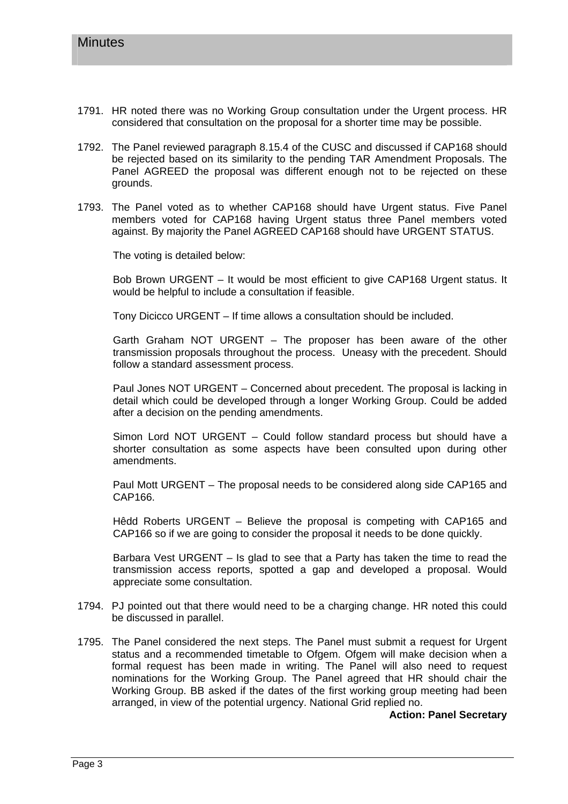- 1791. HR noted there was no Working Group consultation under the Urgent process. HR considered that consultation on the proposal for a shorter time may be possible.
- 1792. The Panel reviewed paragraph 8.15.4 of the CUSC and discussed if CAP168 should be rejected based on its similarity to the pending TAR Amendment Proposals. The Panel AGREED the proposal was different enough not to be rejected on these grounds.
- 1793. The Panel voted as to whether CAP168 should have Urgent status. Five Panel members voted for CAP168 having Urgent status three Panel members voted against. By majority the Panel AGREED CAP168 should have URGENT STATUS.

The voting is detailed below:

Bob Brown URGENT – It would be most efficient to give CAP168 Urgent status. It would be helpful to include a consultation if feasible.

Tony Dicicco URGENT – If time allows a consultation should be included.

Garth Graham NOT URGENT – The proposer has been aware of the other transmission proposals throughout the process. Uneasy with the precedent. Should follow a standard assessment process.

Paul Jones NOT URGENT – Concerned about precedent. The proposal is lacking in detail which could be developed through a longer Working Group. Could be added after a decision on the pending amendments.

Simon Lord NOT URGENT – Could follow standard process but should have a shorter consultation as some aspects have been consulted upon during other amendments.

Paul Mott URGENT – The proposal needs to be considered along side CAP165 and CAP166.

Hêdd Roberts URGENT – Believe the proposal is competing with CAP165 and CAP166 so if we are going to consider the proposal it needs to be done quickly.

Barbara Vest URGENT – Is glad to see that a Party has taken the time to read the transmission access reports, spotted a gap and developed a proposal. Would appreciate some consultation.

- 1794. PJ pointed out that there would need to be a charging change. HR noted this could be discussed in parallel.
- 1795. The Panel considered the next steps. The Panel must submit a request for Urgent status and a recommended timetable to Ofgem. Ofgem will make decision when a formal request has been made in writing. The Panel will also need to request nominations for the Working Group. The Panel agreed that HR should chair the Working Group. BB asked if the dates of the first working group meeting had been arranged, in view of the potential urgency. National Grid replied no.

**Action: Panel Secretary**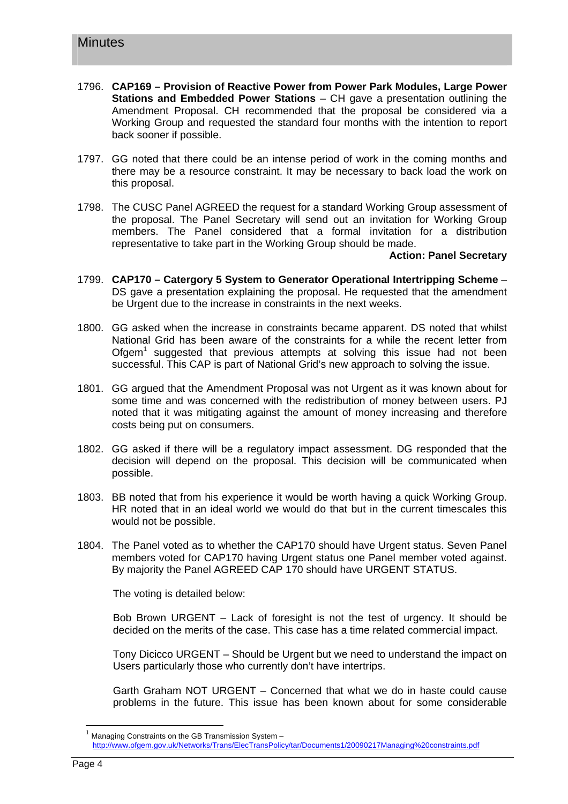- 1796. **CAP169 Provision of Reactive Power from Power Park Modules, Large Power Stations and Embedded Power Stations** – CH gave a presentation outlining the Amendment Proposal. CH recommended that the proposal be considered via a Working Group and requested the standard four months with the intention to report back sooner if possible.
- 1797. GG noted that there could be an intense period of work in the coming months and there may be a resource constraint. It may be necessary to back load the work on this proposal.
- 1798. The CUSC Panel AGREED the request for a standard Working Group assessment of the proposal. The Panel Secretary will send out an invitation for Working Group members. The Panel considered that a formal invitation for a distribution representative to take part in the Working Group should be made.

#### **Action: Panel Secretary**

- 1799. **CAP170 Catergory 5 System to Generator Operational Intertripping Scheme** DS gave a presentation explaining the proposal. He requested that the amendment be Urgent due to the increase in constraints in the next weeks.
- 1800. GG asked when the increase in constraints became apparent. DS noted that whilst National Grid has been aware of the constraints for a while the recent letter from Ofgem<sup>1</sup> suggested that previous attempts at solving this issue had not been successful. This CAP is part of National Grid's new approach to solving the issue.
- 1801. GG argued that the Amendment Proposal was not Urgent as it was known about for some time and was concerned with the redistribution of money between users. PJ noted that it was mitigating against the amount of money increasing and therefore costs being put on consumers.
- 1802. GG asked if there will be a regulatory impact assessment. DG responded that the decision will depend on the proposal. This decision will be communicated when possible.
- 1803. BB noted that from his experience it would be worth having a quick Working Group. HR noted that in an ideal world we would do that but in the current timescales this would not be possible.
- 1804. The Panel voted as to whether the CAP170 should have Urgent status. Seven Panel members voted for CAP170 having Urgent status one Panel member voted against. By majority the Panel AGREED CAP 170 should have URGENT STATUS.

The voting is detailed below:

Bob Brown URGENT – Lack of foresight is not the test of urgency. It should be decided on the merits of the case. This case has a time related commercial impact.

Tony Dicicco URGENT – Should be Urgent but we need to understand the impact on Users particularly those who currently don't have intertrips.

Garth Graham NOT URGENT – Concerned that what we do in haste could cause problems in the future. This issue has been known about for some considerable

 $\overline{a}$ 

Managing Constraints on the GB Transmission System http://www.ofgem.gov.uk/Networks/Trans/ElecTransPolicy/tar/Documents1/20090217Managing%20constraints.pdf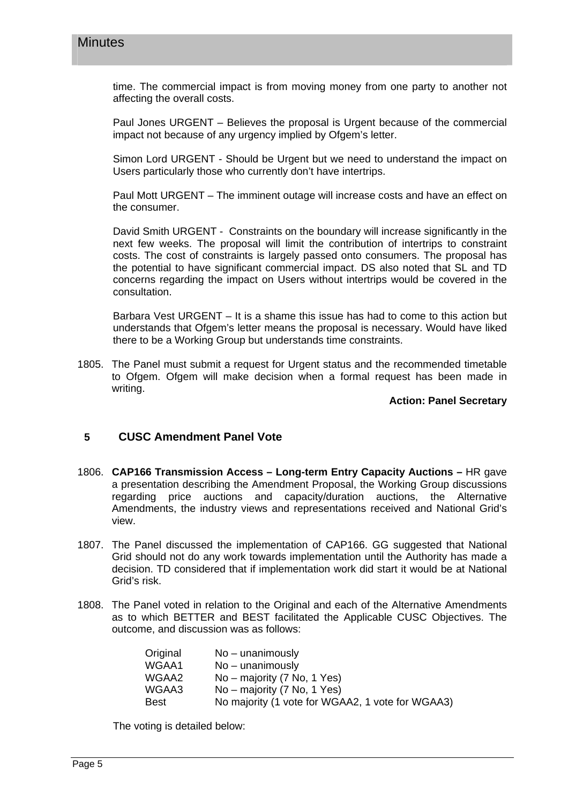time. The commercial impact is from moving money from one party to another not affecting the overall costs.

Paul Jones URGENT – Believes the proposal is Urgent because of the commercial impact not because of any urgency implied by Ofgem's letter.

Simon Lord URGENT - Should be Urgent but we need to understand the impact on Users particularly those who currently don't have intertrips.

Paul Mott URGENT – The imminent outage will increase costs and have an effect on the consumer.

David Smith URGENT - Constraints on the boundary will increase significantly in the next few weeks. The proposal will limit the contribution of intertrips to constraint costs. The cost of constraints is largely passed onto consumers. The proposal has the potential to have significant commercial impact. DS also noted that SL and TD concerns regarding the impact on Users without intertrips would be covered in the consultation.

Barbara Vest URGENT – It is a shame this issue has had to come to this action but understands that Ofgem's letter means the proposal is necessary. Would have liked there to be a Working Group but understands time constraints.

1805. The Panel must submit a request for Urgent status and the recommended timetable to Ofgem. Ofgem will make decision when a formal request has been made in writing.

#### **Action: Panel Secretary**

### **5 CUSC Amendment Panel Vote**

- 1806. **CAP166 Transmission Access Long-term Entry Capacity Auctions** HR gave a presentation describing the Amendment Proposal, the Working Group discussions regarding price auctions and capacity/duration auctions, the Alternative Amendments, the industry views and representations received and National Grid's view.
- 1807. The Panel discussed the implementation of CAP166. GG suggested that National Grid should not do any work towards implementation until the Authority has made a decision. TD considered that if implementation work did start it would be at National Grid's risk.
- 1808. The Panel voted in relation to the Original and each of the Alternative Amendments as to which BETTER and BEST facilitated the Applicable CUSC Objectives. The outcome, and discussion was as follows:

| No – unanimously                                 |
|--------------------------------------------------|
| $No$ – unanimously                               |
| No – majority (7 No, 1 Yes)                      |
| No – majority (7 No, 1 Yes)                      |
| No majority (1 vote for WGAA2, 1 vote for WGAA3) |
|                                                  |

The voting is detailed below: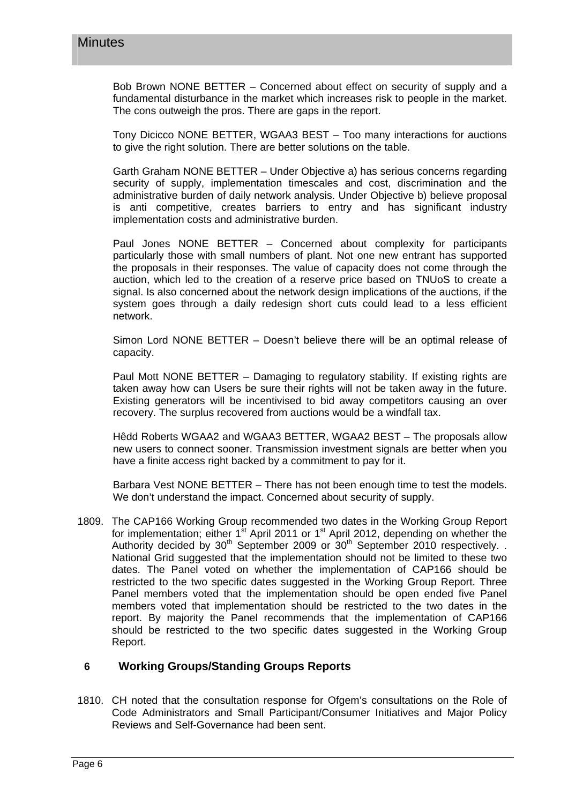Bob Brown NONE BETTER – Concerned about effect on security of supply and a fundamental disturbance in the market which increases risk to people in the market. The cons outweigh the pros. There are gaps in the report.

Tony Dicicco NONE BETTER, WGAA3 BEST – Too many interactions for auctions to give the right solution. There are better solutions on the table.

Garth Graham NONE BETTER – Under Objective a) has serious concerns regarding security of supply, implementation timescales and cost, discrimination and the administrative burden of daily network analysis. Under Objective b) believe proposal is anti competitive, creates barriers to entry and has significant industry implementation costs and administrative burden.

Paul Jones NONE BETTER – Concerned about complexity for participants particularly those with small numbers of plant. Not one new entrant has supported the proposals in their responses. The value of capacity does not come through the auction, which led to the creation of a reserve price based on TNUoS to create a signal. Is also concerned about the network design implications of the auctions, if the system goes through a daily redesign short cuts could lead to a less efficient network.

Simon Lord NONE BETTER – Doesn't believe there will be an optimal release of capacity.

Paul Mott NONE BETTER – Damaging to regulatory stability. If existing rights are taken away how can Users be sure their rights will not be taken away in the future. Existing generators will be incentivised to bid away competitors causing an over recovery. The surplus recovered from auctions would be a windfall tax.

Hêdd Roberts WGAA2 and WGAA3 BETTER, WGAA2 BEST – The proposals allow new users to connect sooner. Transmission investment signals are better when you have a finite access right backed by a commitment to pay for it.

Barbara Vest NONE BETTER – There has not been enough time to test the models. We don't understand the impact. Concerned about security of supply.

1809. The CAP166 Working Group recommended two dates in the Working Group Report for implementation; either  $1<sup>st</sup>$  April 2011 or  $1<sup>st</sup>$  April 2012, depending on whether the Authority decided by  $30<sup>th</sup>$  September 2009 or  $30<sup>th</sup>$  September 2010 respectively. National Grid suggested that the implementation should not be limited to these two dates. The Panel voted on whether the implementation of CAP166 should be restricted to the two specific dates suggested in the Working Group Report. Three Panel members voted that the implementation should be open ended five Panel members voted that implementation should be restricted to the two dates in the report. By majority the Panel recommends that the implementation of CAP166 should be restricted to the two specific dates suggested in the Working Group Report.

### **6 Working Groups/Standing Groups Reports**

1810. CH noted that the consultation response for Ofgem's consultations on the Role of Code Administrators and Small Participant/Consumer Initiatives and Major Policy Reviews and Self-Governance had been sent.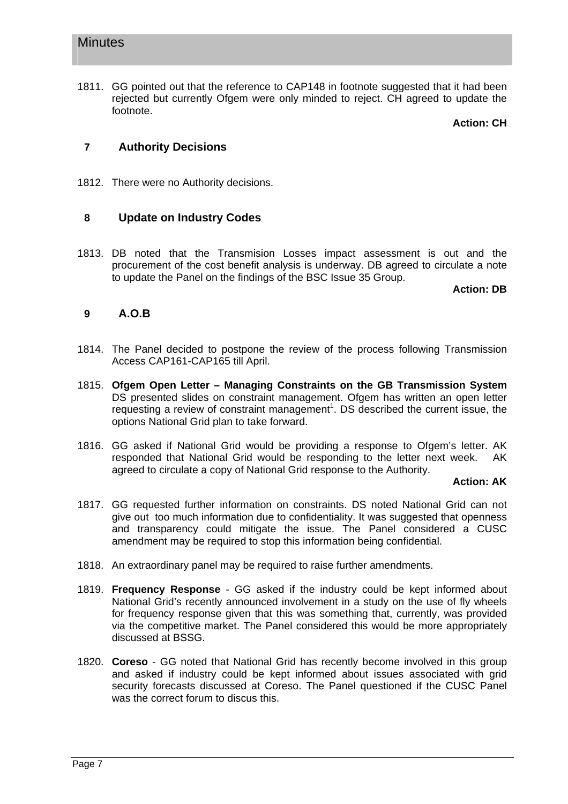1811. GG pointed out that the reference to CAP148 in footnote suggested that it had been rejected but currently Ofgem were only minded to reject. CH agreed to update the footnote.

**Action: CH**

### **7 Authority Decisions**

1812. There were no Authority decisions.

### **8 Update on Industry Codes**

1813. DB noted that the Transmision Losses impact assessment is out and the procurement of the cost benefit analysis is underway. DB agreed to circulate a note to update the Panel on the findings of the BSC Issue 35 Group.

**Action: DB**

### **9 A.O.B**

- 1814. The Panel decided to postpone the review of the process following Transmission Access CAP161-CAP165 till April.
- 1815. **Ofgem Open Letter Managing Constraints on the GB Transmission System** DS presented slides on constraint management. Ofgem has written an open letter requesting a review of constraint management<sup>1</sup>. DS described the current issue, the options National Grid plan to take forward.
- 1816. GG asked if National Grid would be providing a response to Ofgem's letter. AK responded that National Grid would be responding to the letter next week. AK agreed to circulate a copy of National Grid response to the Authority.

**Action: AK**

- 1817. GG requested further information on constraints. DS noted National Grid can not give out too much information due to confidentiality. It was suggested that openness and transparency could mitigate the issue. The Panel considered a CUSC amendment may be required to stop this information being confidential.
- 1818. An extraordinary panel may be required to raise further amendments.
- 1819. **Frequency Response** GG asked if the industry could be kept informed about National Grid's recently announced involvement in a study on the use of fly wheels for frequency response given that this was something that, currently, was provided via the competitive market. The Panel considered this would be more appropriately discussed at BSSG.
- 1820. **Coreso** GG noted that National Grid has recently become involved in this group and asked if industry could be kept informed about issues associated with grid security forecasts discussed at Coreso. The Panel questioned if the CUSC Panel was the correct forum to discus this.